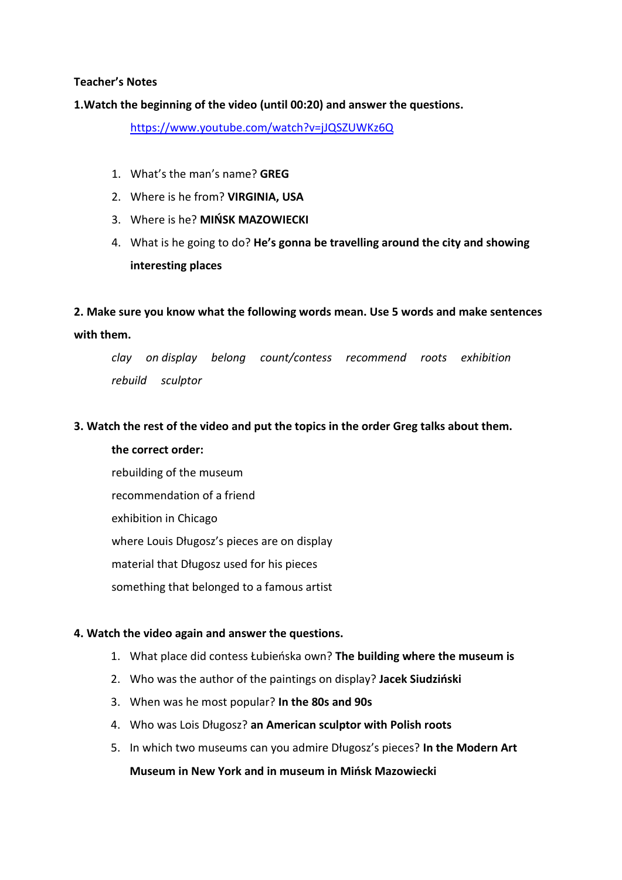### **Teacher's Notes**

## **1.Watch the beginning of the video (until 00:20) and answer the questions.**

<https://www.youtube.com/watch?v=jJQSZUWKz6Q>

- 1. What's the man's name? **GREG**
- 2. Where is he from? **VIRGINIA, USA**
- 3. Where is he? **MIŃSK MAZOWIECKI**
- 4. What is he going to do? **He's gonna be travelling around the city and showing interesting places**

**2. Make sure you know what the following words mean. Use 5 words and make sentences with them.**

*clay on display belong count/contess recommend roots exhibition rebuild sculptor*

### **3. Watch the rest of the video and put the topics in the order Greg talks about them.**

**the correct order:** rebuilding of the museum recommendation of a friend exhibition in Chicago where Louis Długosz's pieces are on display material that Długosz used for his pieces something that belonged to a famous artist

### **4. Watch the video again and answer the questions.**

- 1. What place did contess Łubieńska own? **The building where the museum is**
- 2. Who was the author of the paintings on display? **Jacek Siudziński**
- 3. When was he most popular? **In the 80s and 90s**
- 4. Who was Lois Długosz? **an American sculptor with Polish roots**
- 5. In which two museums can you admire Długosz's pieces? **In the Modern Art Museum in New York and in museum in Mińsk Mazowiecki**